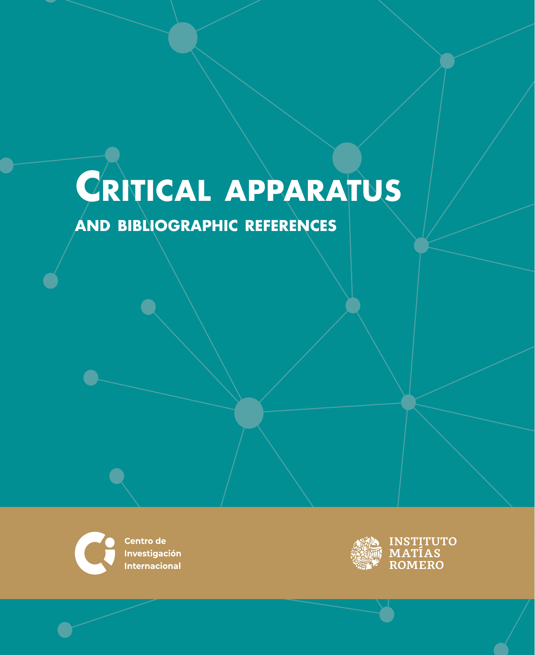# <span id="page-0-0"></span>**Critical apparatus**

# **and bibliographic references**



Centro de **Investigación Internacional** 

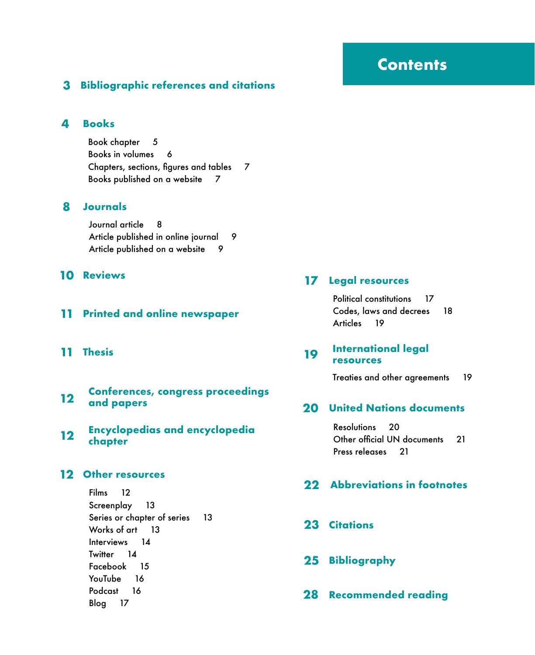#### <span id="page-1-0"></span>**3 [Bibliographic references and citations](#page-2-0)**

#### **4 [Books](#page-3-0)**

[Book chapter](#page-4-0) 5 [Books in volumes](#page-5-0) 6 [Chapters, sections, figures and tables 7](#page-6-0) [Books published on a website](#page-6-0) 7

#### **8 [Journals](#page-7-0)**

[Journal article](#page-7-0) 8 [Article published in online journal 9](#page-8-0) [Article published on a website](#page-8-0) 9

#### **10 [Reviews](#page-9-0)**

#### **11 [Printed and online newspaper](#page-10-0)**

**11 [Thesis](#page-10-0)**

# **[Conferences, congress proceedings 12](#page-11-0) and papers**

**[Encyclopedias and encyclopedia](#page-11-0)  chapter 12**

#### **12 [Other resources](#page-11-0)**

[Films](#page-11-0) 1[2](#page-11-0)

[Screenplay](#page-12-0) 13 [Series or chapter of series](#page-12-0) 1[3](#page-12-0) Works of art 13 [Interviews](#page-13-0) 14 [Twitter](#page-13-0) 14 [Facebook](#page-14-0) 1[5](#page-14-0) [YouTube](#page-15-0) 16 [Podcast](#page-15-0) 16 [Blog](#page-16-0) 17

#### **17 [Legal resources](#page-16-0)**

[Political constitutions](#page-16-0) 1[7](#page-16-0) [Codes, laws and decrees](#page-17-0) 18 [Articles](#page-18-0) 1[9](#page-18-0)

#### **[International legal](#page-18-0)  resources 19**

[Treaties and other agreements](#page-18-0) 19

#### **20 [United Nations documents](#page-19-0)**

[Resolutions](#page-19-0) 2[0](#page-19-0) [Other official UN documents](#page-20-0) 2[1](#page-20-0) [Press releases](#page-20-0) 21

#### **22 [Abbreviations in footnotes](#page-21-0)**

- **23 [Citations](#page-22-0)**
- **25 [Bibliography](#page-24-0)**
- **28 [Recommended reading](#page-27-0)**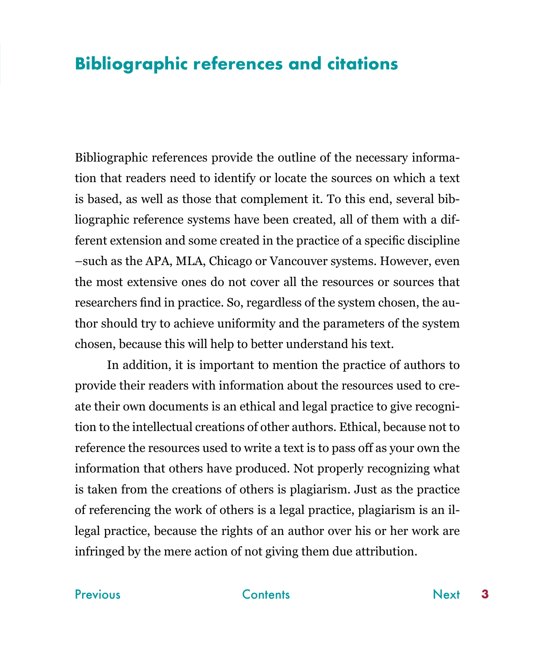# <span id="page-2-0"></span>**Bibliographic references and citations**

Bibliographic references provide the outline of the necessary information that readers need to identify or locate the sources on which a text is based, as well as those that complement it. To this end, several bibliographic reference systems have been created, all of them with a different extension and some created in the practice of a specific discipline –such as the APA, MLA, Chicago or Vancouver systems. However, even the most extensive ones do not cover all the resources or sources that researchers find in practice. So, regardless of the system chosen, the author should try to achieve uniformity and the parameters of the system chosen, because this will help to better understand his text.

In addition, it is important to mention the practice of authors to provide their readers with information about the resources used to create their own documents is an ethical and legal practice to give recognition to the intellectual creations of other authors. Ethical, because not to reference the resources used to write a text is to pass off as your own the information that others have produced. Not properly recognizing what is taken from the creations of others is plagiarism. Just as the practice of referencing the work of others is a legal practice, plagiarism is an illegal practice, because the rights of an author over his or her work are infringed by the mere action of not giving them due attribution.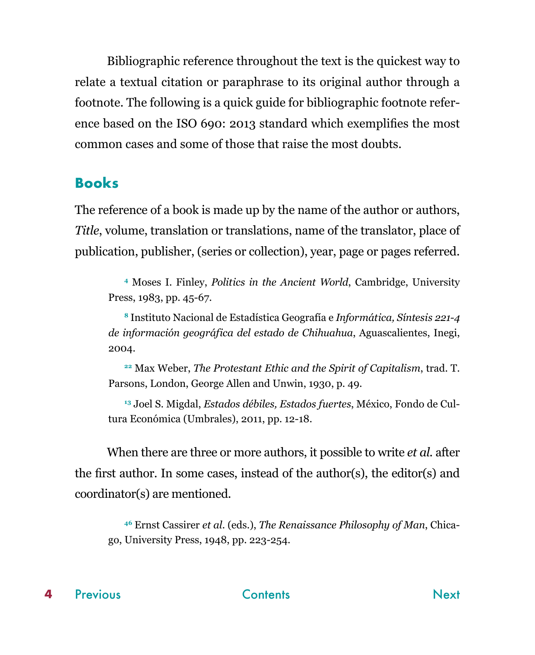<span id="page-3-0"></span>Bibliographic reference throughout the text is the quickest way to relate a textual citation or paraphrase to its original author through a footnote. The following is a quick guide for bibliographic footnote reference based on the ISO 690: 2013 standard which exemplifies the most common cases and some of those that raise the most doubts.

# **Books**

The reference of a book is made up by the name of the author or authors, *Title*, volume, translation or translations, name of the translator, place of publication, publisher, (series or collection), year, page or pages referred.

**<sup>4</sup>** Moses I. Finley, *Politics in the Ancient World*, Cambridge, University Press, 1983, pp. 45-67.

**<sup>8</sup>** Instituto Nacional de Estadística Geografía e *Informática, Síntesis 221-4 de información geográfica del estado de Chihuahua*, Aguascalientes, Inegi, 2004.

**<sup>22</sup>** Max Weber, *The Protestant Ethic and the Spirit of Capitalism*, trad. T. Parsons, London, George Allen and Unwin, 1930, p. 49.

**<sup>13</sup>** Joel S. Migdal, *Estados débiles, Estados fuertes*, México, Fondo de Cultura Económica (Umbrales), 2011, pp. 12-18.

When there are three or more authors, it possible to write *et al.* after the first author. In some cases, instead of the author(s), the editor(s) and coordinator(s) are mentioned.

**<sup>46</sup>** Ernst Cassirer *et al*. (eds.), *The Renaissance Philosophy of Man*, Chicago, University Press, 1948, pp. 223-254.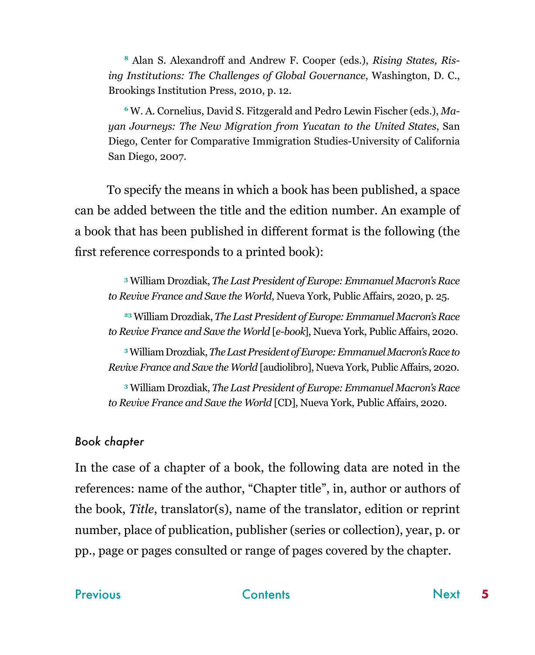<span id="page-4-0"></span>**<sup>8</sup>** Alan S. Alexandroff and Andrew F. Cooper (eds.), *Rising States, Rising Institutions: The Challenges of Global Governance*, Washington, D. C., Brookings Institution Press, 2010, p. 12.

**<sup>6</sup>** W. A. Cornelius, David S. Fitzgerald and Pedro Lewin Fischer (eds.), *Mayan Journeys: The New Migration from Yucatan to the United States*, San Diego, Center for Comparative Immigration Studies-University of California San Diego, 2007.

To specify the means in which a book has been published, a space can be added between the title and the edition number. An example of a book that has been published in different format is the following (the first reference corresponds to a printed book):

**<sup>3</sup>** William Drozdiak, *The Last President of Europe: Emmanuel Macron's Race to Revive France and Save the World*, Nueva York, Public Affairs, 2020, p. 25.

**<sup>23</sup>** William Drozdiak, *The Last President of Europe: Emmanuel Macron's Race to Revive France and Save the World* [*e-book*], Nueva York, Public Affairs, 2020.

**<sup>3</sup>** William Drozdiak, *The Last President of Europe: Emmanuel Macron's Race to Revive France and Save the World* [audiolibro], Nueva York, Public Affairs, 2020.

**<sup>3</sup>** William Drozdiak, *The Last President of Europe: Emmanuel Macron's Race to Revive France and Save the World* [CD], Nueva York, Public Affairs, 2020.

### *Book chapter*

In the case of a chapter of a book, the following data are noted in the references: name of the author, "Chapter title", in, author or authors of the book, *Title*, translator(s), name of the translator, edition or reprint number, place of publication, publisher (series or collection), year, p. or pp., page or pages consulted or range of pages covered by the chapter.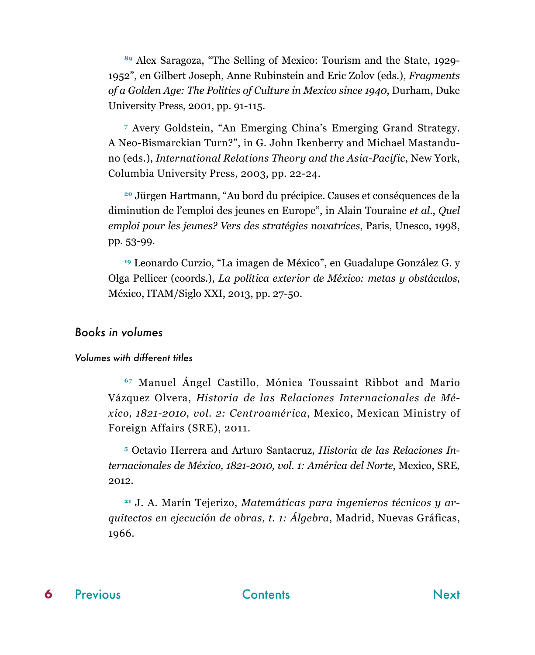<span id="page-5-0"></span>**<sup>89</sup>** Alex Saragoza, "The Selling of Mexico: Tourism and the State, 1929- 1952", en Gilbert Joseph, Anne Rubinstein and Eric Zolov (eds.), *Fragments of a Golden Age: The Politics of Culture in Mexico since 1940*, Durham, Duke University Press, 2001, pp. 91-115.

**<sup>7</sup>** Avery Goldstein, "An Emerging China's Emerging Grand Strategy. A Neo-Bismarckian Turn?", in G. John Ikenberry and Michael Mastanduno (eds.), *International Relations Theory and the Asia-Pacific*, New York, Columbia University Press, 2003, pp. 22-24.

**<sup>20</sup>** Jürgen Hartmann, "Au bord du précipice. Causes et conséquences de la diminution de l'emploi des jeunes en Europe", in Alain Touraine *et al*., *Quel emploi pour les jeunes? Vers des stratégies novatrices*, Paris, Unesco, 1998, pp. 53-99.

**<sup>19</sup>** Leonardo Curzio, "La imagen de México", en Guadalupe González G. y Olga Pellicer (coords.), *La política exterior de México: metas y obstáculos*, México, ITAM/Siglo XXI, 2013, pp. 27-50.

#### *Books in volumes*

#### *Volumes with different titles*

**<sup>67</sup>** Manuel Ángel Castillo, Mónica Toussaint Ribbot and Mario Vázquez Olvera, *Historia de las Relaciones Internacionales de México, 1821-2010, vol. 2: Centroamérica*, Mexico, Mexican Ministry of Foreign Affairs (SRE), 2011.

**5** Octavio Herrera and Arturo Santacruz, *Historia de las Relaciones Internacionales de México, 1821-2010, vol. 1: América del Norte*, Mexico, SRE, 2012.

**21** J. A. Marín Tejerizo, *Matemáticas para ingenieros técnicos y arquitectos en ejecución de obras, t. 1: Álgebra*, Madrid, Nuevas Gráficas, 1966.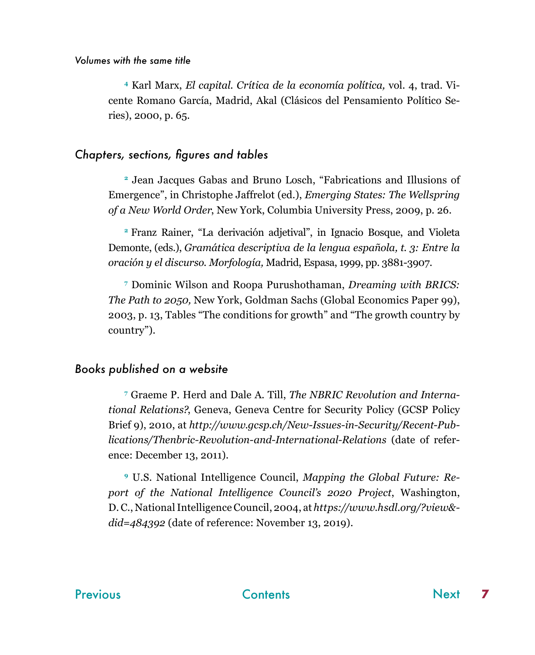<span id="page-6-0"></span>**4** Karl Marx, *El capital. Crítica de la economía política,* vol. 4, trad. Vicente Romano García, Madrid, Akal (Clásicos del Pensamiento Político Series), 2000, p. 65.

#### *Chapters, sections, figures and tables*

**<sup>2</sup>** Jean Jacques Gabas and Bruno Losch, "Fabrications and Illusions of Emergence", in Christophe Jaffrelot (ed.), *Emerging States: The Wellspring of a New World Order*, New York, Columbia University Press, 2009, p. 26.

**<sup>2</sup>**Franz Rainer, "La derivación adjetival", in Ignacio Bosque, and Violeta Demonte, (eds.), *Gramática descriptiva de la lengua española, t. 3: Entre la oración y el discurso. Morfología,* Madrid, Espasa, 1999, pp. 3881-3907.

**7** Dominic Wilson and Roopa Purushothaman, *Dreaming with BRICS: The Path to 2050,* New York, Goldman Sachs (Global Economics Paper 99), 2003, p. 13, Tables "The conditions for growth" and "The growth country by country").

#### *Books published on a website*

**7** Graeme P. Herd and Dale A. Till, *The NBRIC Revolution and International Relations?*, Geneva, Geneva Centre for Security Policy (GCSP Policy Brief 9), 2010, at *http://www.gcsp.ch/New-Issues-in-Security/Recent-Publications/Thenbric-Revolution-and-International-Relations* (date of reference: December 13, 2011).

**9** U.S. National Intelligence Council, *Mapping the Global Future: Report of the National Intelligence Council's 2020 Project*, Washington, D. C., National Intelligence Council, 2004, at *https://www.hsdl.org/?view& did=484392* (date of reference: November 13, 2019).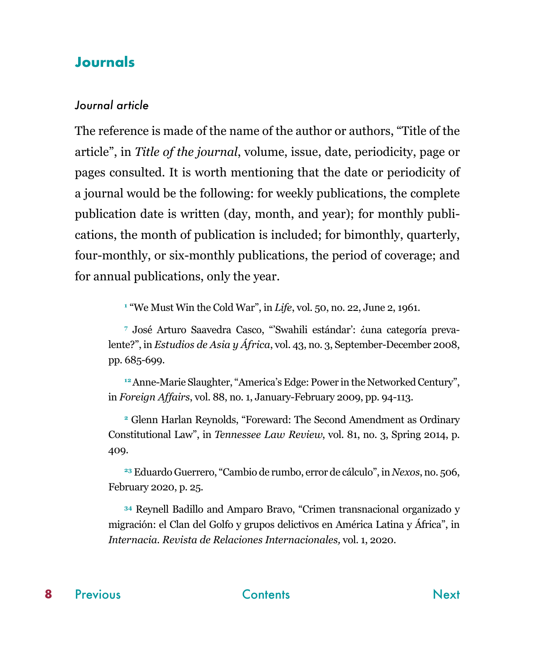## <span id="page-7-0"></span>**Journals**

#### *Journal article*

The reference is made of the name of the author or authors, "Title of the article", in *Title of the journal*, volume, issue, date, periodicity, page or pages consulted. It is worth mentioning that the date or periodicity of a journal would be the following: for weekly publications, the complete publication date is written (day, month, and year); for monthly publications, the month of publication is included; for bimonthly, quarterly, four-monthly, or six-monthly publications, the period of coverage; and for annual publications, only the year.

**1** "We Must Win the Cold War", in *Life*, vol. 50, no. 22, June 2, 1961.

**7** José Arturo Saavedra Casco, "'Swahili estándar': ¿una categoría prevalente?", in *Estudios de Asia y África*, vol. 43, no. 3, September-December 2008, pp. 685-699.

<sup>12</sup> Anne-Marie Slaughter, "America's Edge: Power in the Networked Century", in *Foreign Affairs*, vol. 88, no. 1, January-February 2009, pp. 94-113.

**<sup>2</sup>** Glenn Harlan Reynolds, "Foreward: The Second Amendment as Ordinary Constitutional Law", in *Tennessee Law Review*, vol. 81, no. 3, Spring 2014, p. 409.

**<sup>23</sup>** Eduardo Guerrero, "Cambio de rumbo, error de cálculo", in *Nexos*, no. 506, February 2020, p. 25.

**<sup>34</sup>** Reynell Badillo and Amparo Bravo, "Crimen transnacional organizado y migración: el Clan del Golfo y grupos delictivos en América Latina y África", in *Internacia. Revista de Relaciones Internacionales,* vol. 1, 2020.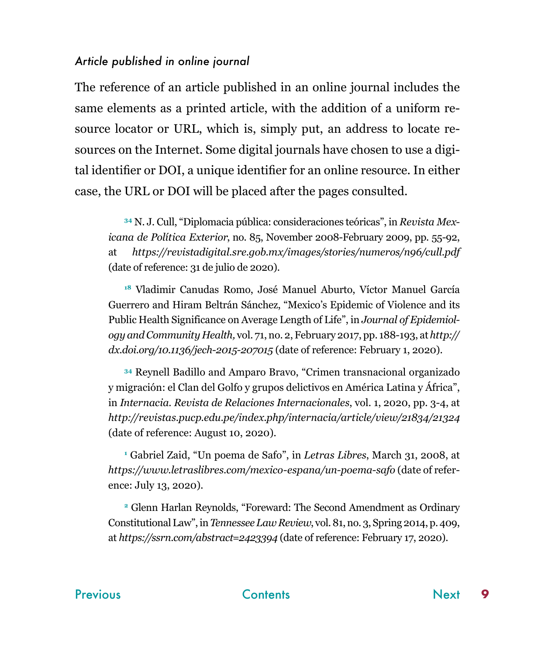#### <span id="page-8-0"></span>*Article published in online journal*

The reference of an article published in an online journal includes the same elements as a printed article, with the addition of a uniform resource locator or URL, which is, simply put, an address to locate resources on the Internet. Some digital journals have chosen to use a digital identifier or DOI, a unique identifier for an online resource. In either case, the URL or DOI will be placed after the pages consulted.

**34** N. J. Cull, "Diplomacia pública: consideraciones teóricas", in *Revista Mexicana de Política Exterior*, no. 85, November 2008-February 2009, pp. 55-92, at *https://revistadigital.sre.gob.mx/images/stories/numeros/n96/cull.pdf*  (date of reference: 31 de julio de 2020).

**<sup>18</sup>** Vladimir Canudas Romo, José Manuel Aburto, Víctor Manuel García Guerrero and Hiram Beltrán Sánchez, "Mexico's Epidemic of Violence and its Public Health Significance on Average Length of Life", in *Journal of Epidemiology and Community Health,* vol. 71, no. 2, February 2017, pp. 188-193, at *http:// dx.doi.org/10.1136/jech-2015-207015* (date of reference: February 1, 2020).

**<sup>34</sup>** Reynell Badillo and Amparo Bravo, "Crimen transnacional organizado y migración: el Clan del Golfo y grupos delictivos en América Latina y África", in *Internacia. Revista de Relaciones Internacionales*, vol. 1, 2020, pp. 3-4, at *http://revistas.pucp.edu.pe/index.php/internacia/article/view/21834/21324*  (date of reference: August 10, 2020).

**1** Gabriel Zaid, "Un poema de Safo", in *Letras Libres*, March 31, 2008, at *https://www.letraslibres.com/mexico-espana/un-poema-safo* (date of reference: July 13, 2020).

**<sup>2</sup>** Glenn Harlan Reynolds, "Foreward: The Second Amendment as Ordinary Constitutional Law", in *Tennessee Law Review*, vol. 81, no. 3, Spring 2014, p. 409, at *https://ssrn.com/abstract=2423394* (date of reference: February 17, 2020).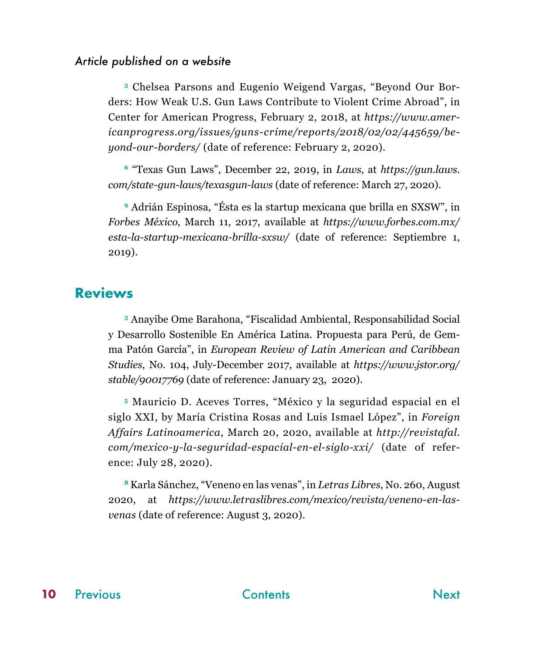#### <span id="page-9-0"></span>*Article published on a website*

**3** Chelsea Parsons and Eugenio Weigend Vargas, "Beyond Our Borders: How Weak U.S. Gun Laws Contribute to Violent Crime Abroad", in Center for American Progress, February 2, 2018, at *https://www.americanprogress.org/issues/guns-crime/reports/2018/02/02/445659/beyond-our-borders/* (date of reference: February 2, 2020).

**<sup>6</sup>** "Texas Gun Laws", December 22, 2019, in *Laws*, at *https://gun.laws. com/state-gun-laws/texasgun-laws* (date of reference: March 27, 2020).

**<sup>9</sup>** Adrián Espinosa, "Ésta es la startup mexicana que brilla en SXSW", in *Forbes México*, March 11, 2017, available at *https://www.forbes.com.mx/ esta-la-startup-mexicana-brilla-sxsw/* (date of reference: Septiembre 1, 2019).

### **Reviews**

**<sup>3</sup>** Anayibe Ome Barahona, "Fiscalidad Ambiental, Responsabilidad Social y Desarrollo Sostenible En América Latina. Propuesta para Perú, de Gemma Patón García", in *European Review of Latin American and Caribbean Studies*, No. 104, July-December 2017, available at *https://www.jstor.org/ stable/90017769* (date of reference: January 23, 2020).

**<sup>5</sup>** Mauricio D. Aceves Torres, "México y la seguridad espacial en el siglo XXI, by María Cristina Rosas and Luis Ismael López", in *Foreign Affairs Latinoamerica*, March 20, 2020, available at *http://revistafal. com/mexico-y-la-seguridad-espacial-en-el-siglo-xxi/* (date of reference: July 28, 2020).

**<sup>8</sup>** Karla Sánchez, "Veneno en las venas", in *Letras Libres*, No. 260, August 2020, at *https://www.letraslibres.com/mexico/revista/veneno-en-lasvenas* (date of reference: August 3, 2020).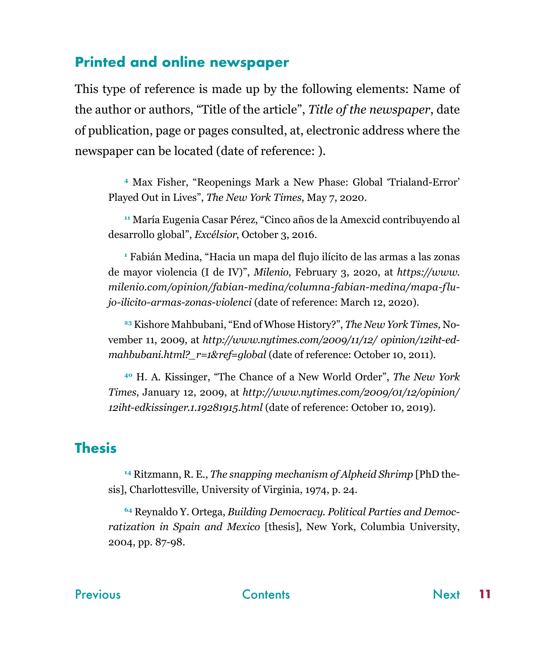# <span id="page-10-0"></span>**Printed and online newspaper**

This type of reference is made up by the following elements: Name of the author or authors, "Title of the article", *Title of the newspaper*, date of publication, page or pages consulted, at, electronic address where the newspaper can be located (date of reference: ).

**<sup>4</sup>** Max Fisher, "Reopenings Mark a New Phase: Global 'Trialand-Error' Played Out in Lives", *The New York Times*, May 7, 2020.

**<sup>11</sup>** María Eugenia Casar Pérez, "Cinco años de la Amexcid contribuyendo al desarrollo global", *Excélsior*, October 3, 2016.

**1** Fabián Medina, "Hacia un mapa del flujo ilícito de las armas a las zonas de mayor violencia (I de IV)", *Milenio*, February 3, 2020, at *https://www. milenio.com/opinion/fabian-medina/columna-fabian-medina/mapa-flujo-ilicito-armas-zonas-violenci* (date of reference: March 12, 2020).

**23** Kishore Mahbubani, "End of Whose History?", *The New York Times,* November 11, 2009, at *http://www.nytimes.com/2009/11/12/ opinion/12iht-edmahbubani.html?\_r=1&ref=global* (date of reference: October 10, 2011).

**<sup>40</sup>** H. A. Kissinger, "The Chance of a New World Order", *The New York Times*, January 12, 2009, at *http://www.nytimes.com/2009/01/12/opinion/ 12iht-edkissinger.1.19281915.html* (date of reference: October 10, 2019).

# **Thesis**

**14** Ritzmann, R. E., *The snapping mechanism of Alpheid Shrimp* [PhD thesis], Charlottesville, University of Virginia, 1974, p. 24.

**64** Reynaldo Y. Ortega, *Building Democracy. Political Parties and Democratization in Spain and Mexico* [thesis], New York, Columbia University, 2004, pp. 87-98.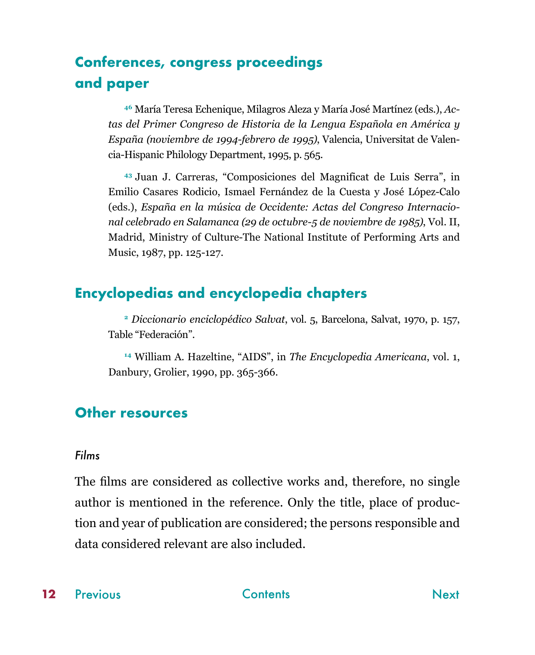# <span id="page-11-0"></span>**Conferences, congress proceedings and paper**

**46** María Teresa Echenique, Milagros Aleza y María José Martínez (eds.), *Actas del Primer Congreso de Historia de la Lengua Española en América y España (noviembre de 1994-febrero de 1995)*, Valencia, Universitat de Valencia-Hispanic Philology Department, 1995, p. 565.

**<sup>43</sup>**Juan J. Carreras, "Composiciones del Magnificat de Luis Serra", in Emilio Casares Rodicio, Ismael Fernández de la Cuesta y José López-Calo (eds.), *España en la música de Occidente: Actas del Congreso Internacional celebrado en Salamanca (29 de octubre-5 de noviembre de 1985)*, Vol. II, Madrid, Ministry of Culture-The National Institute of Performing Arts and Music, 1987, pp. 125-127.

# **Encyclopedias and encyclopedia chapters**

**<sup>2</sup>** *Diccionario enciclopédico Salvat*, vol. 5, Barcelona, Salvat, 1970, p. 157, Table "Federación".

**<sup>14</sup>** William A. Hazeltine, "AIDS", in *The Encyclopedia Americana*, vol. 1, Danbury, Grolier, 1990, pp. 365-366.

# **Other resources**

#### *Films*

The films are considered as collective works and, therefore, no single author is mentioned in the reference. Only the title, place of production and year of publication are considered; the persons responsible and data considered relevant are also included.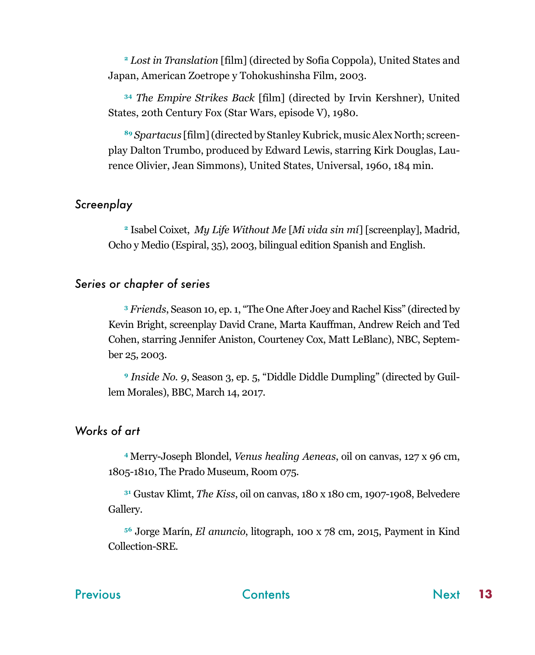<span id="page-12-0"></span>**<sup>2</sup>** *Lost in Translation* [film] (directed by Sofia Coppola), United States and Japan, American Zoetrope y Tohokushinsha Film, 2003.

**<sup>34</sup>** *The Empire Strikes Back* [film] (directed by Irvin Kershner), United States, 20th Century Fox (Star Wars, episode V), 1980.

**<sup>89</sup>** *Spartacus* [film] (directed by Stanley Kubrick, music Alex North; screenplay Dalton Trumbo, produced by Edward Lewis, starring Kirk Douglas, Laurence Olivier, Jean Simmons), United States, Universal, 1960, 184 min.

#### *Screenplay*

**<sup>2</sup>** Isabel Coixet, *My Life Without Me* [*Mi vida sin mí*] [screenplay], Madrid, Ocho y Medio (Espiral, 35), 2003, bilingual edition Spanish and English.

#### *Series or chapter of series*

**<sup>3</sup>** *Friends*, Season 10, ep. 1, "The One After Joey and Rachel Kiss" (directed by Kevin Bright, screenplay David Crane, Marta Kauffman, Andrew Reich and Ted Cohen, starring Jennifer Aniston, Courteney Cox, Matt LeBlanc), NBC, September 25, 2003.

**<sup>9</sup>** *Inside No. 9*, Season 3, ep. 5, "Diddle Diddle Dumpling" (directed by Guillem Morales), BBC, March 14, 2017.

#### *Works of art*

**<sup>4</sup>**Merry-Joseph Blondel, *Venus healing Aeneas*, oil on canvas, 127 x 96 cm, 1805-1810, The Prado Museum, Room 075.

**<sup>31</sup>** Gustav Klimt, *The Kiss*, oil on canvas, 180 x 180 cm, 1907-1908, Belvedere Gallery.

**<sup>56</sup>** Jorge Marín, *El anuncio*, litograph, 100 x 78 cm, 2015, Payment in Kind Collection-SRE.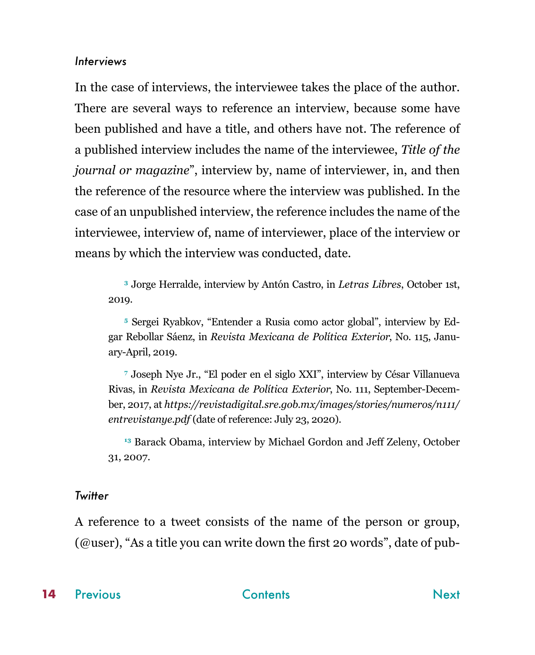#### <span id="page-13-0"></span>*Interviews*

In the case of interviews, the interviewee takes the place of the author. There are several ways to reference an interview, because some have been published and have a title, and others have not. The reference of a published interview includes the name of the interviewee, *Title of the journal or magazine*", interview by, name of interviewer, in, and then the reference of the resource where the interview was published. In the case of an unpublished interview, the reference includes the name of the interviewee, interview of, name of interviewer, place of the interview or means by which the interview was conducted, date.

**<sup>3</sup>** Jorge Herralde, interview by Antón Castro, in *Letras Libres*, October 1st, 2019.

**5** Sergei Ryabkov, "Entender a Rusia como actor global", interview by Edgar Rebollar Sáenz, in *Revista Mexicana de Política Exterior*, No. 115, January-April, 2019.

**7** Joseph Nye Jr., "El poder en el siglo XXI", interview by César Villanueva Rivas, in *Revista Mexicana de Política Exterior*, No. 111, September-December, 2017, at *https://revistadigital.sre.gob.mx/images/stories/numeros/n111/ entrevistanye.pdf* (date of reference: July 23, 2020).

**<sup>13</sup>** Barack Obama, interview by Michael Gordon and Jeff Zeleny, October 31, 2007.

#### *Twitter*

A reference to a tweet consists of the name of the person or group,  $(Quser)$ , "As a title you can write down the first 20 words", date of pub-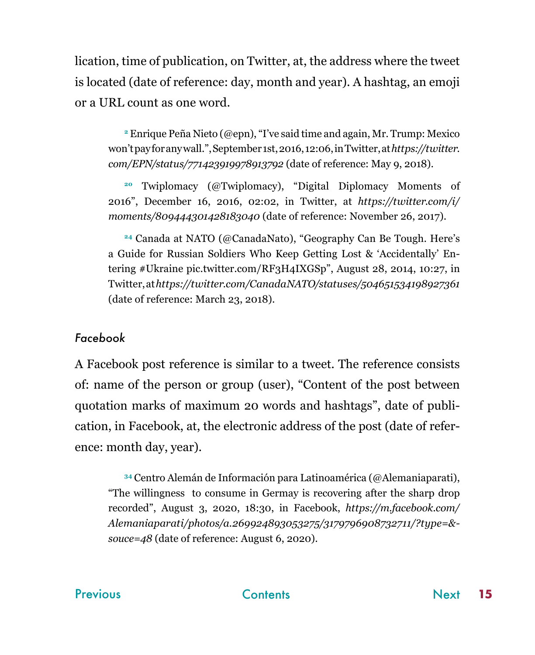<span id="page-14-0"></span>lication, time of publication, on Twitter, at, the address where the tweet is located (date of reference: day, month and year). A hashtag, an emoji or a URL count as one word.

**<sup>2</sup>** Enrique Peña Nieto (@epn), "I've said time and again, Mr. Trump: Mexico won't pay for any wall.", September 1st, 2016, 12:06, in Twitter, at *https://twitter. com/EPN/status/771423919978913792* (date of reference: May 9, 2018).

**<sup>20</sup>** Twiplomacy (@Twiplomacy), "Digital Diplomacy Moments of 2016", December 16, 2016, 02:02, in Twitter, at *https://twitter.com/i/ moments/809444301428183040* (date of reference: November 26, 2017).

**<sup>24</sup>** Canada at NATO (@CanadaNato), "Geography Can Be Tough. Here's a Guide for Russian Soldiers Who Keep Getting Lost & 'Accidentally' Entering #Ukraine pic.twitter.com/RF3H4IXGSp", August 28, 2014, 10:27, in Twitter, at *https://twitter.com/CanadaNATO/statuses/504651534198927361* (date of reference: March 23, 2018).

### *Facebook*

A Facebook post reference is similar to a tweet. The reference consists of: name of the person or group (user), "Content of the post between quotation marks of maximum 20 words and hashtags", date of publication, in Facebook, at, the electronic address of the post (date of reference: month day, year).

**<sup>34</sup>** Centro Alemán de Información para Latinoamérica (@Alemaniaparati), "The willingness to consume in Germay is recovering after the sharp drop recorded", August 3, 2020, 18:30, in Facebook, *https://m.facebook.com/ Alemaniaparati/photos/a.269924893053275/3179796908732711/?type=& souce=48* (date of reference: August 6, 2020).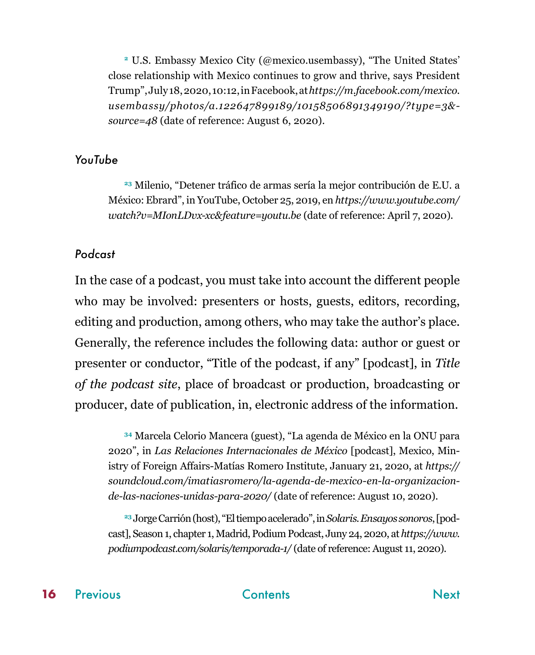<span id="page-15-0"></span>**<sup>2</sup>** U.S. Embassy Mexico City (@mexico.usembassy), "The United States' close relationship with Mexico continues to grow and thrive, says President Trump", July 18, 2020, 10:12, in Facebook, at *https://m.facebook.com/mexico. usembassy/photos/a.122647899189/10158506891349190/?type=3& source=48* (date of reference: August 6, 2020).

#### *YouTube*

**<sup>23</sup>** Milenio, "Detener tráfico de armas sería la mejor contribución de E.U. a México: Ebrard", in YouTube, October 25, 2019, en *https://www.youtube.com/ watch?v=MIonLDvx-xc&feature=youtu.be* (date of reference: April 7, 2020).

#### *Podcast*

In the case of a podcast, you must take into account the different people who may be involved: presenters or hosts, guests, editors, recording, editing and production, among others, who may take the author's place. Generally, the reference includes the following data: author or guest or presenter or conductor, "Title of the podcast, if any" [podcast], in *Title of the podcast site*, place of broadcast or production, broadcasting or producer, date of publication, in, electronic address of the information.

**<sup>34</sup>** Marcela Celorio Mancera (guest), "La agenda de México en la ONU para 2020", in *Las Relaciones Internacionales de México* [podcast], Mexico, Ministry of Foreign Affairs-Matías Romero Institute, January 21, 2020, at *https:// soundcloud.com/imatiasromero/la-agenda-de-mexico-en-la-organizacionde-las-naciones-unidas-para-2020/* (date of reference: August 10, 2020).

**23** Jorge Carrión (host), "El tiempo acelerado", in *Solaris. Ensayos sonoros*, [podcast], Season 1, chapter 1, Madrid, Podium Podcast, Juny 24, 2020, at *https://www. podiumpodcast.com/solaris/temporada-1/* (date of reference: August 11, 2020).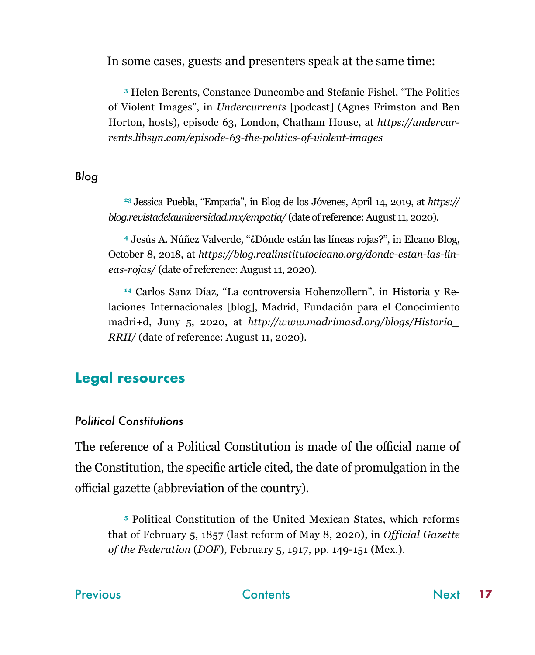<span id="page-16-0"></span>In some cases, guests and presenters speak at the same time:

**<sup>3</sup>** Helen Berents, Constance Duncombe and Stefanie Fishel, "The Politics of Violent Images", in *Undercurrents* [podcast] (Agnes Frimston and Ben Horton, hosts), episode 63, London, Chatham House, at *https://undercurrents.libsyn.com/episode-63-the-politics-of-violent-images*

#### *Blog*

**<sup>23</sup>**Jessica Puebla, "Empatía", in Blog de los Jóvenes, April 14, 2019, at *https:// blog.revistadelauniversidad.mx/empatia/* (date of reference: August 11, 2020).

**<sup>4</sup>** Jesús A. Núñez Valverde, "¿Dónde están las líneas rojas?", in Elcano Blog, October 8, 2018, at *https://blog.realinstitutoelcano.org/donde-estan-las-lineas-rojas/* (date of reference: August 11, 2020).

**14** Carlos Sanz Díaz, "La controversia Hohenzollern", in Historia y Relaciones Internacionales [blog], Madrid, Fundación para el Conocimiento madri+d, Juny 5, 2020, at *http://www.madrimasd.org/blogs/Historia\_ RRII/* (date of reference: August 11, 2020).

# **Legal resources**

### *Political Constitutions*

The reference of a Political Constitution is made of the official name of the Constitution, the specific article cited, the date of promulgation in the official gazette (abbreviation of the country).

**<sup>5</sup>** Political Constitution of the United Mexican States, which reforms that of February 5, 1857 (last reform of May 8, 2020), in *Official Gazette of the Federation* (*DOF*), February 5, 1917, pp. 149-151 (Mex.).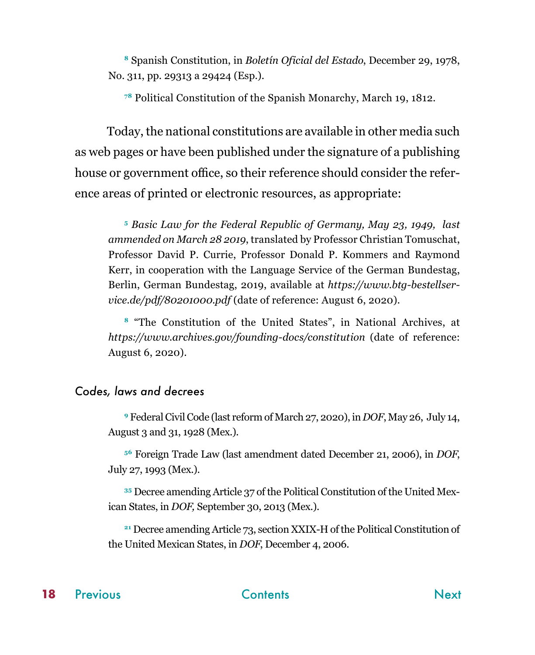<span id="page-17-0"></span>**<sup>8</sup>** Spanish Constitution, in *Boletín Oficial del Estado*, December 29, 1978, No. 311, pp. 29313 a 29424 (Esp.).

**<sup>78</sup>** Political Constitution of the Spanish Monarchy, March 19, 1812.

Today, the national constitutions are available in other media such as web pages or have been published under the signature of a publishing house or government office, so their reference should consider the reference areas of printed or electronic resources, as appropriate:

**<sup>5</sup>** *Basic Law for the Federal Republic of Germany, May 23, 1949, last ammended on March 28 2019*, translated by Professor Christian Tomuschat, Professor David P. Currie, Professor Donald P. Kommers and Raymond Kerr, in cooperation with the Language Service of the German Bundestag, Berlin, German Bundestag, 2019, available at *https://www.btg-bestellservice.de/pdf/80201000.pdf* (date of reference: August 6, 2020).

**<sup>8</sup>** "The Constitution of the United States", in National Archives, at *https://www.archives.gov/founding-docs/constitution* (date of reference: August 6, 2020).

#### *Codes, laws and decrees*

**<sup>9</sup>** Federal Civil Code (last reform of March 27, 2020), in *DOF*, May 26, July 14, August 3 and 31, 1928 (Mex.).

**<sup>56</sup>** Foreign Trade Law (last amendment dated December 21, 2006), in *DOF*, July 27, 1993 (Mex.).

**35** Decree amending Article 37 of the Political Constitution of the United Mexican States, in *DOF,* September 30, 2013 (Mex.).

**<sup>21</sup>** Decree amending Article 73, section XXIX-H of the Political Constitution of the United Mexican States, in *DOF*, December 4, 2006.

#### [Previous](#page-16-0) **[Contents](#page-1-0)** Contents [Next](#page-18-0)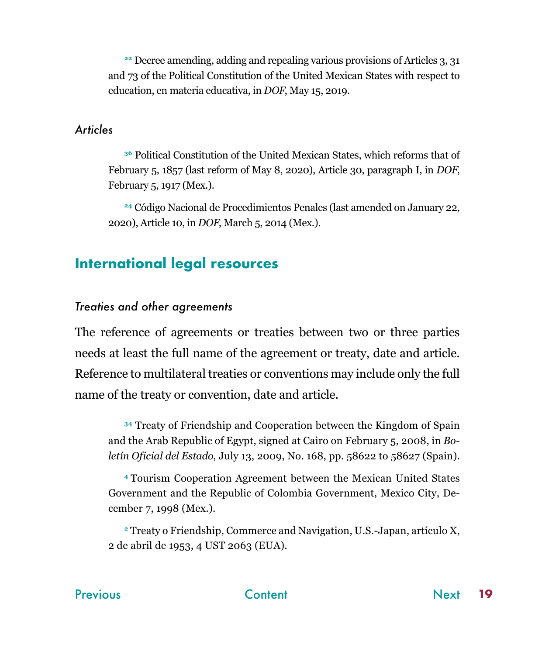<span id="page-18-0"></span>**<sup>22</sup>** Decree amending, adding and repealing various provisions of Articles 3, 31 and 73 of the Political Constitution of the United Mexican States with respect to education, en materia educativa, in *DOF*, May 15, 2019.

#### *Articles*

**<sup>36</sup>** Political Constitution of the United Mexican States, which reforms that of February 5, 1857 (last reform of May 8, 2020), Article 30, paragraph I, in *DOF*, February 5, 1917 (Mex.).

**<sup>24</sup>** Código Nacional de Procedimientos Penales (last amended on January 22, 2020), Article 10, in *DOF*, March 5, 2014 (Mex.).

# **International legal resources**

#### *Treaties and other agreements*

The reference of agreements or treaties between two or three parties needs at least the full name of the agreement or treaty, date and article. Reference to multilateral treaties or conventions may include only the full name of the treaty or convention, date and article.

**<sup>34</sup>** Treaty of Friendship and Cooperation between the Kingdom of Spain and the Arab Republic of Egypt, signed at Cairo on February 5, 2008, in *Boletín Oficial del Estado*, July 13, 2009, No. 168, pp. 58622 to 58627 (Spain).

**<sup>4</sup>**Tourism Cooperation Agreement between the Mexican United States Government and the Republic of Colombia Government, Mexico City, December 7, 1998 (Mex.).

**<sup>2</sup>** Treaty o Friendship, Commerce and Navigation, U.S.-Japan, artículo X, 2 de abril de 1953, 4 UST 2063 (EUA).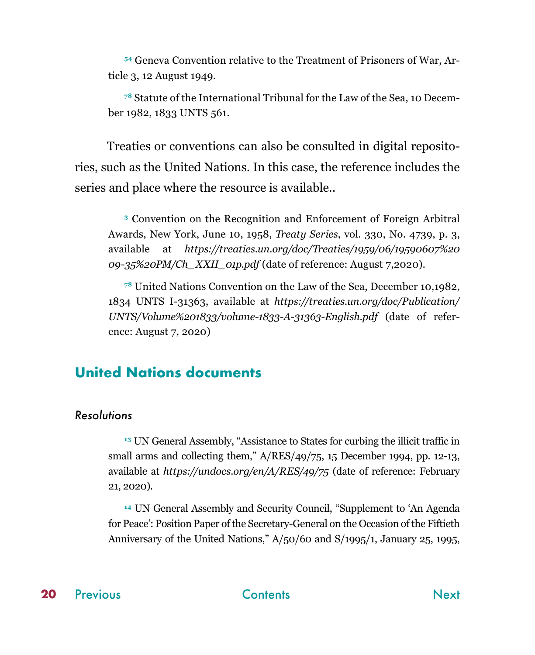<span id="page-19-0"></span>**54** Geneva Convention relative to the Treatment of Prisoners of War, Article 3, 12 August 1949.

**78** Statute of the International Tribunal for the Law of the Sea, 10 December 1982, 1833 UNTS 561.

Treaties or conventions can also be consulted in digital repositories, such as the United Nations. In this case, the reference includes the series and place where the resource is available..

**<sup>3</sup>** Convention on the Recognition and Enforcement of Foreign Arbitral Awards, New York, June 10, 1958, *Treaty Series*, vol. 330, No. 4739, p. 3, available at *https://treaties.un.org/doc/Treaties/1959/06/19590607%20 09-35%20PM/Ch\_XXII\_01p.pdf* (date of reference: August 7,2020).

**<sup>78</sup>** United Nations Convention on the Law of the Sea, December 10,1982, 1834 UNTS I-31363, available at *https://treaties.un.org/doc/Publication/ UNTS/Volume%201833/volume-1833-A-31363-English.pdf* (date of reference: August 7, 2020)

# **United Nations documents**

#### *Resolutions*

**<sup>13</sup>** UN General Assembly, "Assistance to States for curbing the illicit traffic in small arms and collecting them,"  $A/RES/49/75$ , 15 December 1994, pp. 12-13, available at *https://undocs.org/en/A/RES/49/75* (date of reference: February 21, 2020).

**<sup>14</sup>** UN General Assembly and Security Council, "Supplement to 'An Agenda for Peace': Position Paper of the Secretary-General on the Occasion of the Fiftieth Anniversary of the United Nations," A/50/60 and S/1995/1, January 25, 1995,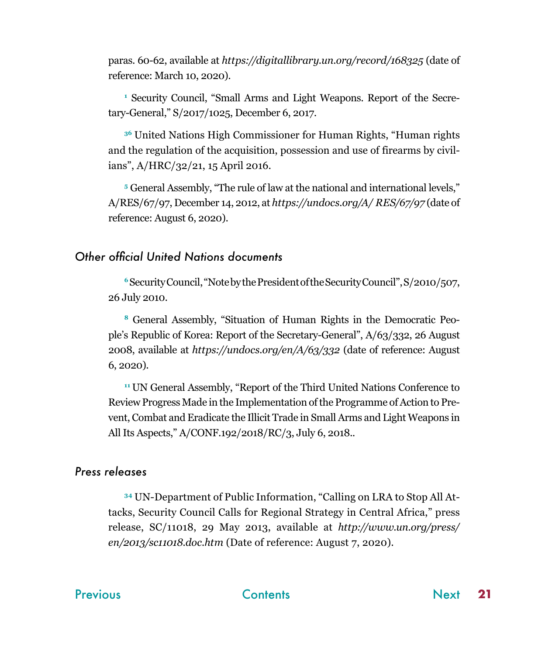<span id="page-20-0"></span>paras. 60-62, available at *https://digitallibrary.un.org/record/168325* (date of reference: March 10, 2020).

**1** Security Council, "Small Arms and Light Weapons. Report of the Secretary-General," S/2017/1025, December 6, 2017.

**<sup>36</sup>** United Nations High Commissioner for Human Rights, "Human rights and the regulation of the acquisition, possession and use of firearms by civilians", A/HRC/32/21, 15 April 2016.

**<sup>5</sup>** General Assembly, "The rule of law at the national and international levels," A/RES/67/97, December 14, 2012, at *https://undocs.org/A/ RES/67/97* (date of reference: August 6, 2020).

#### *Other official United Nations documents*

**<sup>6</sup>** Security Council, "Note by the President of the Security Council", S/2010/507, 26 July 2010.

**8** General Assembly, "Situation of Human Rights in the Democratic People's Republic of Korea: Report of the Secretary-General", A/63/332, 26 August 2008, available at *https://undocs.org/en/A/63/332* (date of reference: August 6, 2020).

**<sup>11</sup>**UN General Assembly, "Report of the Third United Nations Conference to Review Progress Made in the Implementation of the Programme of Action to Prevent, Combat and Eradicate the Illicit Trade in Small Arms and Light Weapons in All Its Aspects," A/CONF.192/2018/RC/3, July 6, 2018..

#### *Press releases*

**34** UN-Department of Public Information, "Calling on LRA to Stop All Attacks, Security Council Calls for Regional Strategy in Central Africa," press release, SC/11018, 29 May 2013, available at *http://www.un.org/press/ en/2013/sc11018.doc.htm* (Date of reference: August 7, 2020).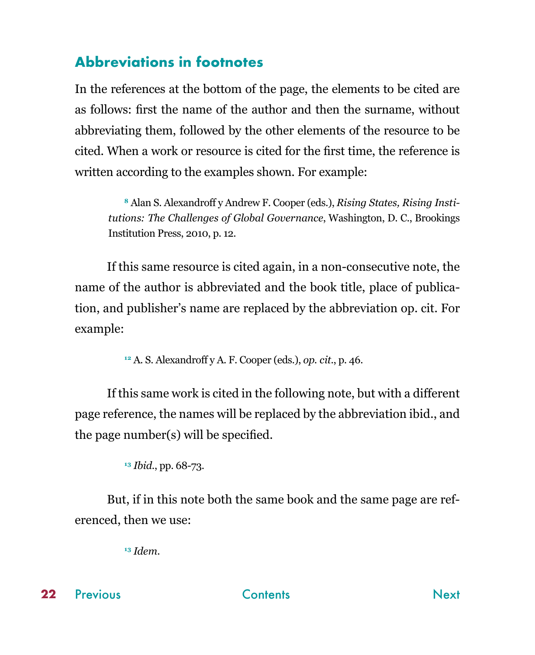# <span id="page-21-0"></span>**Abbreviations in footnotes**

In the references at the bottom of the page, the elements to be cited are as follows: first the name of the author and then the surname, without abbreviating them, followed by the other elements of the resource to be cited. When a work or resource is cited for the first time, the reference is written according to the examples shown. For example:

**8** Alan S. Alexandroff y Andrew F. Cooper (eds.), *Rising States, Rising Institutions: The Challenges of Global Governance*, Washington, D. C., Brookings Institution Press, 2010, p. 12.

If this same resource is cited again, in a non-consecutive note, the name of the author is abbreviated and the book title, place of publication, and publisher's name are replaced by the abbreviation op. cit. For example:

**<sup>12</sup>** A. S. Alexandroff y A. F. Cooper (eds.), *op. cit*., p. 46.

If this same work is cited in the following note, but with a different page reference, the names will be replaced by the abbreviation ibid., and the page number(s) will be specified.

**<sup>13</sup>** *Ibid.*, pp. 68-73.

But, if in this note both the same book and the same page are referenced, then we use:

**<sup>13</sup>** *Idem*.

**22**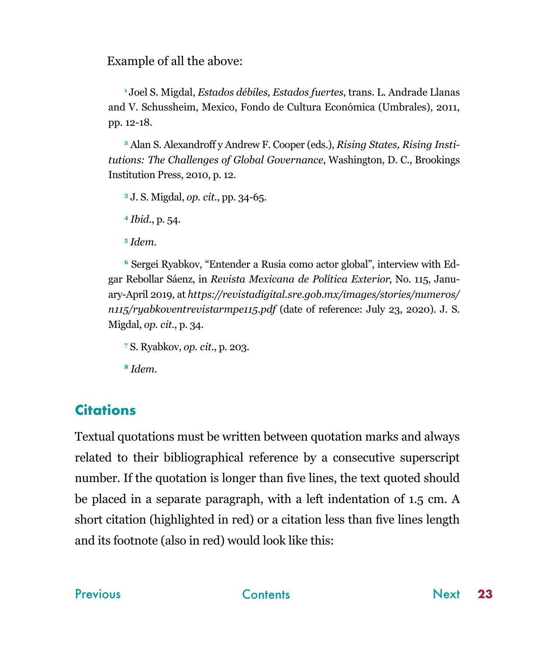<span id="page-22-0"></span>Example of all the above:

**<sup>1</sup>**Joel S. Migdal, *Estados débiles, Estados fuertes*, trans. L. Andrade Llanas and V. Schussheim, Mexico, Fondo de Cultura Económica (Umbrales), 2011, pp. 12-18.

**2** Alan S. Alexandroff y Andrew F. Cooper (eds.), *Rising States, Rising Institutions: The Challenges of Global Governance*, Washington, D. C., Brookings Institution Press, 2010, p. 12.

**<sup>3</sup>** J. S. Migdal, *op. cit.*, pp. 34-65.

**<sup>4</sup>** *Ibid*., p. 54.

**<sup>5</sup>** *Idem*.

**6** Sergei Ryabkov, "Entender a Rusia como actor global", interview with Edgar Rebollar Sáenz, in *Revista Mexicana de Política Exterior*, No. 115, January-April 2019, at *https://revistadigital.sre.gob.mx/images/stories/numeros/ n115/ryabkoventrevistarmpe115.pdf* (date of reference: July 23, 2020). J. S. Migdal, *op. cit.*, p. 34.

**7** S. Ryabkov, *op. cit*., p. 203.

**<sup>8</sup>** *Idem*.

# **Citations**

Textual quotations must be written between quotation marks and always related to their bibliographical reference by a consecutive superscript number. If the quotation is longer than five lines, the text quoted should be placed in a separate paragraph, with a left indentation of 1.5 cm. A short citation (highlighted in red) or a citation less than five lines length and its footnote (also in red) would look like this: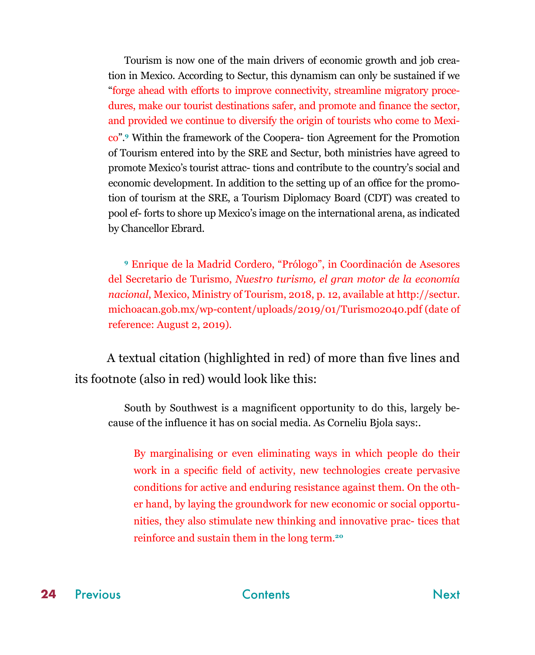<span id="page-23-0"></span>Tourism is now one of the main drivers of economic growth and job creation in Mexico. According to Sectur, this dynamism can only be sustained if we "forge ahead with efforts to improve connectivity, streamline migratory procedures, make our tourist destinations safer, and promote and finance the sector, and provided we continue to diversify the origin of tourists who come to Mexico".**<sup>9</sup>** Within the framework of the Coopera- tion Agreement for the Promotion of Tourism entered into by the SRE and Sectur, both ministries have agreed to promote Mexico's tourist attrac- tions and contribute to the country's social and economic development. In addition to the setting up of an office for the promotion of tourism at the SRE, a Tourism Diplomacy Board (CDT) was created to pool ef- forts to shore up Mexico's image on the international arena, as indicated by Chancellor Ebrard.

**<sup>9</sup>** Enrique de la Madrid Cordero, "Prólogo", in Coordinación de Asesores del Secretario de Turismo, *Nuestro turismo, el gran motor de la economía nacional*, Mexico, Ministry of Tourism, 2018, p. 12, available at http://sectur. michoacan.gob.mx/wp-content/uploads/2019/01/Turismo2040.pdf (date of reference: August 2, 2019).

A textual citation (highlighted in red) of more than five lines and its footnote (also in red) would look like this:

South by Southwest is a magnificent opportunity to do this, largely because of the influence it has on social media. As Corneliu Bjola says:.

By marginalising or even eliminating ways in which people do their work in a specific field of activity, new technologies create pervasive conditions for active and enduring resistance against them. On the other hand, by laying the groundwork for new economic or social opportunities, they also stimulate new thinking and innovative prac- tices that reinforce and sustain them in the long term.**<sup>20</sup>**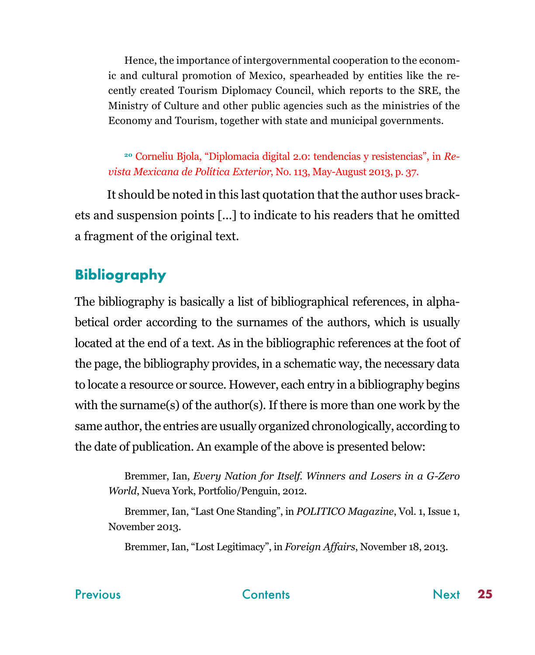<span id="page-24-0"></span>Hence, the importance of intergovernmental cooperation to the economic and cultural promotion of Mexico, spearheaded by entities like the recently created Tourism Diplomacy Council, which reports to the SRE, the Ministry of Culture and other public agencies such as the ministries of the Economy and Tourism, together with state and municipal governments.

**<sup>20</sup>** Corneliu Bjola, "Diplomacia digital 2.0: tendencias y resistencias", in *Revista Mexicana de Política Exterior*, No. 113, May-August 2013, p. 37.

It should be noted in this last quotation that the author uses brackets and suspension points [...] to indicate to his readers that he omitted a fragment of the original text.

# **Bibliography**

The bibliography is basically a list of bibliographical references, in alphabetical order according to the surnames of the authors, which is usually located at the end of a text. As in the bibliographic references at the foot of the page, the bibliography provides, in a schematic way, the necessary data to locate a resource or source. However, each entry in a bibliography begins with the surname(s) of the author(s). If there is more than one work by the same author, the entries are usually organized chronologically, according to the date of publication. An example of the above is presented below:

Bremmer, Ian, *Every Nation for Itself. Winners and Losers in a G-Zero World*, Nueva York, Portfolio/Penguin, 2012.

Bremmer, Ian, "Last One Standing", in *POLITICO Magazine*, Vol. 1, Issue 1, November 2013.

Bremmer, Ian, "Lost Legitimacy", in *Foreign Affairs*, November 18, 2013.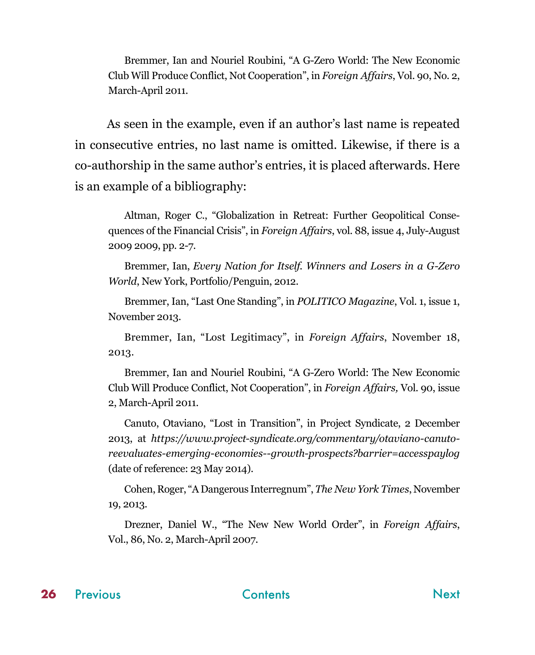<span id="page-25-0"></span>Bremmer, Ian and Nouriel Roubini, "A G-Zero World: The New Economic Club Will Produce Conflict, Not Cooperation", in *Foreign Affairs*, Vol. 90, No. 2, March-April 2011.

As seen in the example, even if an author's last name is repeated in consecutive entries, no last name is omitted. Likewise, if there is a co-authorship in the same author's entries, it is placed afterwards. Here is an example of a bibliography:

Altman, Roger C., "Globalization in Retreat: Further Geopolitical Consequences of the Financial Crisis", in *Foreign Affairs*, vol. 88, issue 4, July-August 2009 2009, pp. 2-7.

Bremmer, Ian, *Every Nation for Itself. Winners and Losers in a G-Zero World*, New York, Portfolio/Penguin, 2012.

Bremmer, Ian, "Last One Standing", in *POLITICO Magazine*, Vol. 1, issue 1, November 2013.

Bremmer, Ian, "Lost Legitimacy", in *Foreign Affairs*, November 18, 2013.

Bremmer, Ian and Nouriel Roubini, "A G-Zero World: The New Economic Club Will Produce Conflict, Not Cooperation", in *Foreign Affairs,* Vol. 90, issue 2, March-April 2011.

Canuto, Otaviano, "Lost in Transition", in Project Syndicate, 2 December 2013, at *https://www.project-syndicate.org/commentary/otaviano-canutoreevaluates-emerging-economies--growth-prospects?barrier=accesspaylog* (date of reference: 23 May 2014).

Cohen, Roger, "A Dangerous Interregnum", *The New York Times*, November 19, 2013.

Drezner, Daniel W., "The New New World Order", in *Foreign Affairs*, Vol., 86, No. 2, March-April 2007.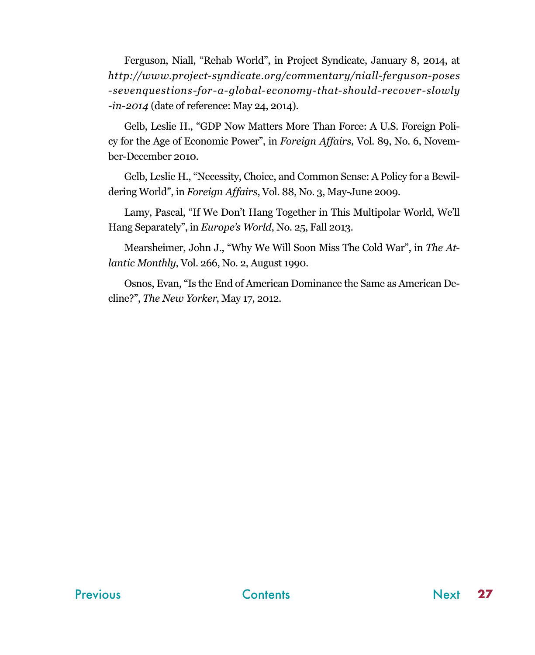<span id="page-26-0"></span>Ferguson, Niall, "Rehab World", in Project Syndicate, January 8, 2014, at *http://www.project-syndicate.org/commentary/niall-ferguson-poses -sevenquestions-for-a-global-economy-that-should-recover-slowly -in-2014* (date of reference: May 24, 2014).

Gelb, Leslie H., "GDP Now Matters More Than Force: A U.S. Foreign Policy for the Age of Economic Power", in *Foreign Affairs,* Vol. 89, No. 6, November-December 2010.

Gelb, Leslie H., "Necessity, Choice, and Common Sense: A Policy for a Bewildering World", in *Foreign Affairs*, Vol. 88, No. 3, May-June 2009.

Lamy, Pascal, "If We Don't Hang Together in This Multipolar World, We'll Hang Separately", in *Europe's World*, No. 25, Fall 2013.

Mearsheimer, John J., "Why We Will Soon Miss The Cold War", in *The Atlantic Monthly*, Vol. 266, No. 2, August 1990.

Osnos, Evan, "Is the End of American Dominance the Same as American Decline?", *The New Yorker*, May 17, 2012.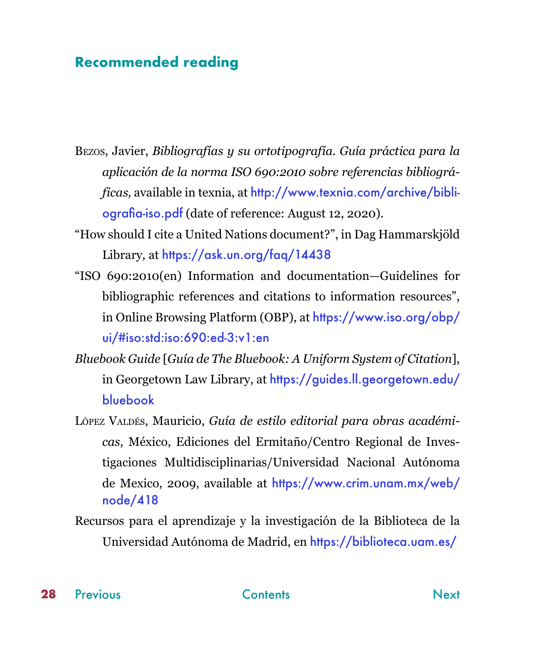# <span id="page-27-0"></span>**Recommended reading**

Bezos, Javier, *Bibliografías y su ortotipografía. Guía práctica para la aplicación de la norma ISO 690:2010 sobre referencias bibliográficas,* available in texnia, at [http://www.texnia.com/archive/bibli](http://www.texnia.com/archive/bibliografia-iso.pdf)[ografia-iso.pdf](http://www.texnia.com/archive/bibliografia-iso.pdf) (date of reference: August 12, 2020).

- "How should I cite a United Nations document?", in Dag Hammarskjöld Library, at https://ask.un.org/faq/14438
- "ISO 690:2010(en) Information and documentation—Guidelines for bibliographic references and citations to information resources", in Online Browsing Platform (OBP), at [https://www.iso.org/obp/](https://www.iso.org/obp/ui/#iso:std:iso:690:ed-3:v1:en) [ui/#iso:std:iso:690:ed-3:v1:en](https://www.iso.org/obp/ui/#iso:std:iso:690:ed-3:v1:en)
- *Bluebook Guide* [*Guía de The Bluebook: A Uniform System of Citation*], in Georgetown Law Library, at [https://guides.ll.georgetown.edu/](https://guides.ll.georgetown.edu/bluebook) [bluebook](https://guides.ll.georgetown.edu/bluebook)
- López Valdés, Mauricio, *Guía de estilo editorial para obras académicas*, México, Ediciones del Ermitaño/Centro Regional de Investigaciones Multidisciplinarias/Universidad Nacional Autónoma de Mexico, 2009, available at [https://www.crim.unam.mx/web/](https://www.crim.unam.mx/web/node/418 ) [node/418](https://www.crim.unam.mx/web/node/418 )
- Recursos para el aprendizaje y la investigación de la Biblioteca de la Universidad Autónoma de Madrid, en <https://biblioteca.uam.es/>